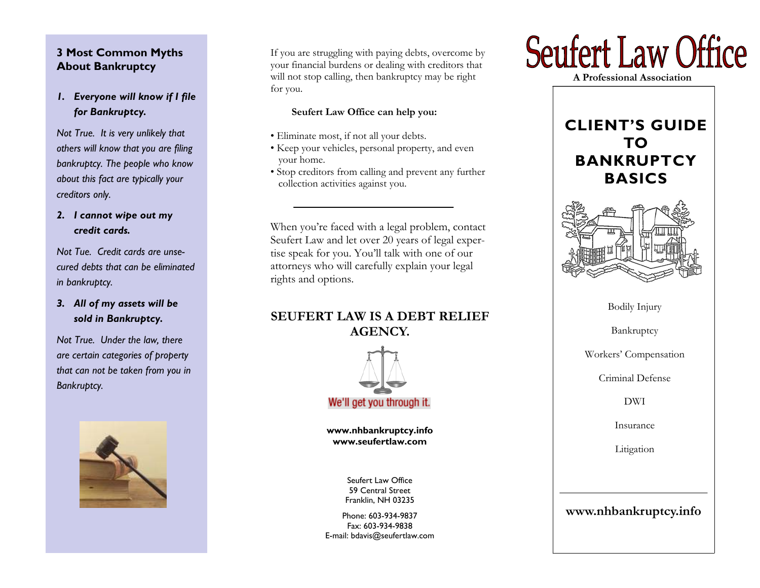# **3 Most Common Myths About Bankruptcy**

*1. Everyone will know if I file for Bankruptcy.* 

*Not True. It is very unlikely that others will know that you are filing bankruptcy. The people who know about this fact are typically your creditors only.* 

*2. I cannot wipe out my credit cards.* 

*Not Tue. Credit cards are unsecured debts that can be eliminated in bankruptcy.* 

*3. All of my assets will be sold in Bankruptcy.* 

*Not True. Under the law, there are certain categories of property that can not be taken from you in Bankruptcy.* 



If you are struggling with paying debts, overcome by your financial burdens or dealing with creditors that will not stop calling, then bankruptcy may be right for you.

# **Seufert Law Office can help you:**

- Eliminate most, if not all your debts.
- Keep your vehicles, personal property, and even your home.
- Stop creditors from calling and prevent any further collection activities against you.

When you're faced with a legal problem, contact Seufert Law and let over 20 years of legal expertise speak for you. You'll talk with one of our attorneys who will carefully explain your legal rights and options.

# **SEUFERT LAW IS A DEBT RELIEF AGENCY.**



**www.nhbankruptcy.info www.seufertlaw.com** 

> Seufert Law Office 59 Central Street Franklin, NH 03235

Phone: 603-934-9837 Fax: 603-934-9838 E-mail: bdavis@seufertlaw.com



 **A Professional Association** 

# **CLIENT'S GUIDE TO BANKRUPTCY BASICS**



Bodily Injury

Bankruptcy

Workers' Compensation

Criminal Defense

DWI

Insurance

Litigation

# **www.nhbankruptcy.info**